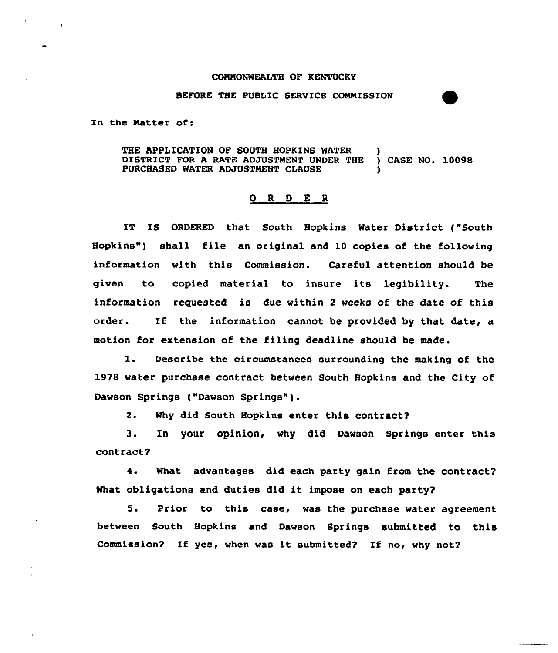## COMMONWEALTH OF KENTUCKY

## BEFORE THE PUBLIC SERVICE COMMISSION

In the Matter of:

THE APPLICATION OF SOUTH HOPKINS WATER )<br>DISTRICT FOR A RATE ADJUSTMENT UNDER THE ) CASE NO. 10098 DISTRICT FOR A RATE ADJUSTMENT UNDER THE PURCHASED WATER ADJUSTMENT CLAUSE

## 0 <sup>R</sup> <sup>D</sup> E <sup>R</sup>

IT IS ORDERED that South Hopkins Water District ("South Hopkins") shall file an original and 10 copies of the following information with this Commission. Careful attention should be given to copied material to insure its legibility. The information requested is due within <sup>2</sup> weeks of the date of this order. If the information cannot be provided by that date, a motion for extension of the filing deadline should be made.

l. Describe the circumstances surrounding the making of the 1978 water purchase contract between South Hopkins and the City of Dawson Springs ("Dawson Springs").

2. Why did South Hopkins enter this contract?

3. In your opinion, why did Dawson Springs enter this contract?

4. What advantages did each party gain from the contract? What obligations and duties did it impose on each party?

5. Prior to this case, was the purchase water agreement, between South Hopkins and Dawson Springs submitted to this Commission? If yes, when was it submitted? If no, why not?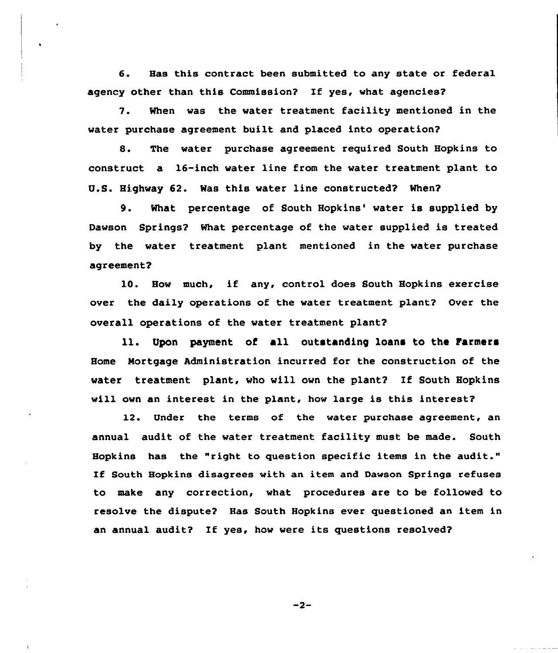6. Has this contract been submitted to any state or federal agency other than this Commission? If yes, what agencies?

7. When was the water treatment facility mentioned in the water purchase agreement built and placed into operation?

8. The water purchase agreement required South Hopkins to construct a 16-inch water line from the water treatment plant to U.S. Highway 62. Was this water line constructed? When?

9. What percentage of South Hopkins' water is supplied by Dawson Springs2 What percentage of the water supplied is treated by the water treatment plant mentioned in the water purchase agreement?

10. How much, if any, control does South Hopkins exercise over the daily operations of the water treatment plant? Over the overall operations of the water treatment plant?

ll. Upon payment of all outstanding loans to the Farmers Home Mortgage Administration incurred for the construction of the water treatment plant, who will own the plant2 If South Hopkins will own an interest in the plant, how large is this interest?

12. Under the terms of the water purchase agreement, an annual audit of the water treatment facility must be made. South Hopkins has the "right to question specific items in the audit." If South Hopkins disagrees with an item and Dawson Springs refuses to make any correction, what procedures are to be followed to resolve the dispute2 Has South Hopkins ever questioned an item in an annual audit? If yes, how were its questions resolved?

 $-2-$ 

 $\mathbf{I}$